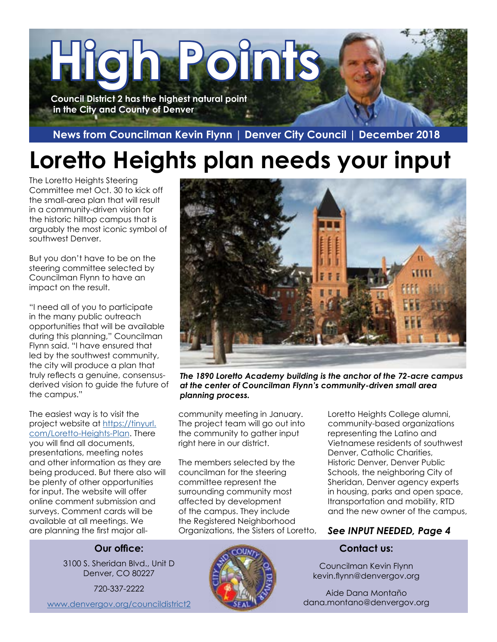

 **News from Councilman Kevin Flynn | Denver City Council | December 2018**

# **Loretto Heights plan needs your input**

The Loretto Heights Steering Committee met Oct. 30 to kick off the small-area plan that will result in a community-driven vision for the historic hilltop campus that is arguably the most iconic symbol of southwest Denver.

But you don't have to be on the steering committee selected by Councilman Flynn to have an impact on the result.

"I need all of you to participate in the many public outreach opportunities that will be available during this planning," Councilman Flynn said. "I have ensured that led by the southwest community, the city will produce a plan that truly reflects a genuine, consensusderived vision to guide the future of the campus."

The easiest way is to visit the project website at [https://tinyurl.](https://tinyurl.com/Loretto-Heights-Plan) [com/Loretto-Heights-Plan](https://tinyurl.com/Loretto-Heights-Plan). There you will find all documents, presentations, meeting notes and other information as they are being produced. But there also will be plenty of other opportunities for input. The website will offer online comment submission and surveys. Comment cards will be available at all meetings. We are planning the first major all-



*The 1890 Loretto Academy building is the anchor of the 72-acre campus at the center of Councilman Flynn's community-driven small area planning process.*

community meeting in January. The project team will go out into the community to gather input right here in our district.

The members selected by the councilman for the steering committee represent the surrounding community most affected by development of the campus. They include the Registered Neighborhood Organizations, the Sisters of Loretto, Loretto Heights College alumni, community-based organizations representing the Latino and Vietnamese residents of southwest Denver, Catholic Charities, Historic Denver, Denver Public Schools, the neighboring City of Sheridan, Denver agency experts in housing, parks and open space, Itransportation and mobility, RTD and the new owner of the campus,

### *See INPUT NEEDED, Page 4*

#### **Contact us:**

Councilman Kevin Flynn kevin.flynn@denvergov.org

Aide Dana Montaño dana.montano@denvergov.org

#### **Our office:**

3100 S. Sheridan Blvd., Unit D Denver, CO 80227

720-337-2222

[www.denvergov.org/councildistrict2](http://www.denvergov.org/councildistrict2)

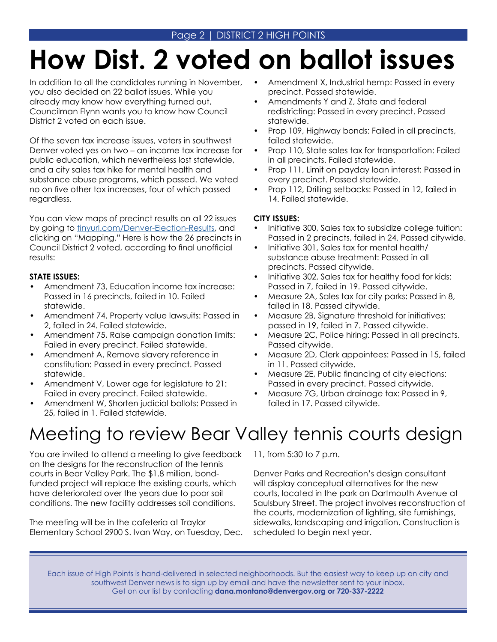# **How Dist. 2 voted on ballot issues**

In addition to all the candidates running in November, you also decided on 22 ballot issues. While you already may know how everything turned out, Councilman Flynn wants you to know how Council District 2 voted on each issue.

Of the seven tax increase issues, voters in southwest Denver voted yes on two – an income tax increase for public education, which nevertheless lost statewide, and a city sales tax hike for mental health and substance abuse programs, which passed. We voted no on five other tax increases, four of which passed regardless.

You can view maps of precinct results on all 22 issues by going to [tinyurl.com/Denver-Election-Results](http://tinyurl.com/Denver-Election-Results), and clicking on "Mapping." Here is how the 26 precincts in Council District 2 voted, according to final unofficial results:

#### **STATE ISSUES:**

- Amendment 73, Education income tax increase: Passed in 16 precincts, failed in 10. Failed statewide.
- Amendment 74, Property value lawsuits: Passed in 2, failed in 24. Failed statewide.
- Amendment 75, Raise campaign donation limits: Failed in every precinct. Failed statewide.
- Amendment A, Remove slavery reference in constitution: Passed in every precinct. Passed statewide.
- Amendment V, Lower age for legislature to 21: Failed in every precinct. Failed statewide.
- Amendment W, Shorten judicial ballots: Passed in 25, failed in 1. Failed statewide.
- Amendment X, Industrial hemp: Passed in every precinct. Passed statewide.
- Amendments Y and Z, State and federal redistricting: Passed in every precinct. Passed statewide.
- Prop 109, Highway bonds: Failed in all precincts, failed statewide.
- Prop 110, State sales tax for transportation: Failed in all precincts. Failed statewide.
- Prop 111, Limit on payday loan interest: Passed in every precinct. Passed statewide.
- Prop 112, Drilling setbacks: Passed in 12, failed in 14. Failed statewide.

#### **CITY ISSUES:**

- Initiative 300, Sales tax to subsidize college tuition: Passed in 2 precincts, failed in 24. Passed citywide.
- Initiative 301, Sales tax for mental health/ substance abuse treatment: Passed in all precincts. Passed citywide.
- Initiative 302, Sales tax for healthy food for kids: Passed in 7, failed in 19. Passed citywide.
- Measure 2A, Sales tax for city parks: Passed in 8, failed in 18. Passed citywide.
- Measure 2B, Signature threshold for initiatives: passed in 19, failed in 7. Passed citywide.
- Measure 2C, Police hiring: Passed in all precincts. Passed citywide.
- Measure 2D, Clerk appointees: Passed in 15, failed in 11. Passed citywide.
- Measure 2E, Public financing of city elections: Passed in every precinct. Passed citywide.
- Measure 7G, Urban drainage tax: Passed in 9, failed in 17. Passed citywide.

# Meeting to review Bear Valley tennis courts design

You are invited to attend a meeting to give feedback on the designs for the reconstruction of the tennis courts in Bear Valley Park. The \$1.8 million, bondfunded project will replace the existing courts, which have deteriorated over the years due to poor soil conditions. The new facility addresses soil conditions.

The meeting will be in the cafeteria at Traylor Elementary School 2900 S. Ivan Way, on Tuesday, Dec. 11, from 5:30 to 7 p.m.

Denver Parks and Recreation's design consultant will display conceptual alternatives for the new courts, located in the park on Dartmouth Avenue at Saulsbury Street. The project involves reconstruction of the courts, modernization of lighting, site furnishings, sidewalks, landscaping and irrigation. Construction is scheduled to begin next year.

Each issue of High Points is hand-delivered in selected neighborhoods. But the easiest way to keep up on city and southwest Denver news is to sign up by email and have the newsletter sent to your inbox. Get on our list by contacting **dana.montano@denvergov.org or 720-337-2222**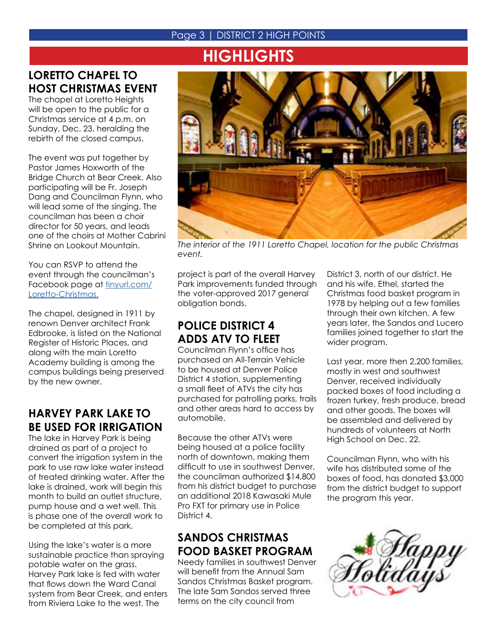### Page 3 | DISTRICT 2 HIGH POINTS

# **HIGHLIGHTS**

## **LORETTO CHAPEL TO HOST CHRISTMAS EVENT**

The chapel at Loretto Heights will be open to the public for a Christmas service at 4 p.m. on Sunday, Dec. 23, heralding the rebirth of the closed campus.

The event was put together by Pastor James Hoxworth of the Bridge Church at Bear Creek. Also participating will be Fr. Joseph Dang and Councilman Flynn, who will lead some of the singing. The councilman has been a choir director for 50 years, and leads one of the choirs at Mother Cabrini Shrine on Lookout Mountain.

You can RSVP to attend the event through the councilman's Facebook page at [tinyurl.com/](http://tinyurl.com/Loretto-Christmas ) [Loretto-Christmas.](http://tinyurl.com/Loretto-Christmas )

The chapel, designed in 1911 by renown Denver architect Frank Edbrooke, is listed on the National Register of Historic Places, and along with the main Loretto Academy building is among the campus buildings being preserved by the new owner.

## **HARVEY PARK LAKE TO BE USED FOR IRRIGATION**

The lake in Harvey Park is being drained as part of a project to convert the irrigation system in the park to use raw lake water instead of treated drinking water. After the lake is drained, work will begin this month to build an outlet structure, pump house and a wet well. This is phase one of the overall work to be completed at this park.

Using the lake's water is a more sustainable practice than spraying potable water on the grass. Harvey Park lake is fed with water that flows down the Ward Canal system from Bear Creek, and enters from Riviera Lake to the west. The



*The interior of the 1911 Loretto Chapel, location for the public Christmas event.*

project is part of the overall Harvey Park improvements funded through the voter-approved 2017 general obligation bonds.

## **POLICE DISTRICT 4 ADDS ATV TO FLEET**

Councilman Flynn's office has purchased an All-Terrain Vehicle to be housed at Denver Police District 4 station, supplementing a small fleet of ATVs the city has purchased for patrolling parks, trails and other areas hard to access by automobile.

Because the other ATVs were being housed at a police facility north of downtown, making them difficult to use in southwest Denver, the councilman authorized \$14,800 from his district budget to purchase an additional 2018 Kawasaki Mule Pro FXT for primary use in Police District 4.

## **SANDOS CHRISTMAS FOOD BASKET PROGRAM**

Needy families in southwest Denver will benefit from the Annual Sam Sandos Christmas Basket program. The late Sam Sandos served three terms on the city council from

District 3, north of our district. He and his wife, Ethel, started the Christmas food basket program in 1978 by helping out a few families through their own kitchen. A few years later, the Sandos and Lucero families joined together to start the wider program.

Last year, more then 2,200 families, mostly in west and southwest Denver, received individually packed boxes of food including a frozen turkey, fresh produce, bread and other goods. The boxes will be assembled and delivered by hundreds of volunteers at North High School on Dec. 22.

Councilman Flynn, who with his wife has distributed some of the boxes of food, has donated \$3,000 from the district budget to support the program this year.